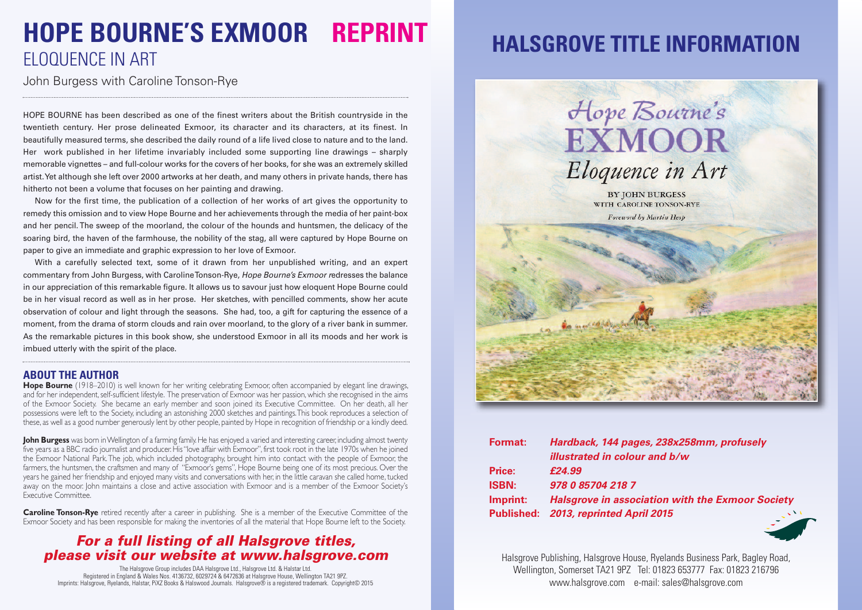## **HOPE BOURNE'S EXMOOR REPRINT** ELOQUENCE IN ART

John Burgess with Caroline Tonson-Rye

HOPE BOURNE has been described as one of the finest writers about the British countryside in the twentieth century. Her prose delineated Exmoor, its character and its characters, at its finest. In beautifully measured terms, she described the daily round of a life lived close to nature and to the land. Her work published in her lifetime invariably included some supporting line drawings – sharply memorable vignettes – and full-colour works for the covers of her books, for she was an extremely skilled artist.Yet although she left over 2000 artworks at her death, and many others in private hands, there has hitherto not been a volume that focuses on her painting and drawing.

Now for the first time, the publication of a collection of her works of art gives the opportunity to remedy this omission and to view Hope Bourne and her achievements through the media of her paint-box and her pencil.The sweep of the moorland, the colour of the hounds and huntsmen, the delicacy of the soaring bird, the haven of the farmhouse, the nobility of the stag, all were captured by Hope Bourne on paper to give an immediate and graphic expression to her love of Exmoor.

With a carefully selected text, some of it drawn from her unpublished writing, and an expert commentary from John Burgess, with CarolineTonson-Rye, *Hope Bourne's Exmoor r*edresses the balance in our appreciation of this remarkable figure. It allows us to savour just how eloquent Hope Bourne could be in her visual record as well as in her prose. Her sketches, with pencilled comments, show her acute observation of colour and light through the seasons. She had, too, a gift for capturing the essence of a moment, from the drama of storm clouds and rain over moorland, to the glory of a river bank in summer. As the remarkable pictures in this book show, she understood Exmoor in all its moods and her work is imbued utterly with the spirit of the place.

#### **ABOUT THE AUTHOR**

**Hope Bourne** (1918–2010) is well known for her writing celebrating Exmoor, often accompanied by elegant line drawings, and for her independent, self-sufficient lifestyle. The preservation of Exmoor was her passion, which she recognised in the aims of the Exmoor Society. She became an early member and soon joined its Executive Committee. On her death, all her possessions were left to the Society, including an astonishing 2000 sketches and paintings.This book reproduces a selection of these, as well as a good number generously lent by other people, painted by Hope in recognition of friendship or a kindly deed.

**John Burgess** was born in Wellington of a farming family. He has enjoyed a varied and interesting career, including almost twenty five years as a BBC radio journalist and producer. His"love affair with Exmoor", first took root in the late 1970s when he joined the Exmoor National Park.The job, which included photography, brought him into contact with the people of Exmoor, the farmers, the huntsmen, the craftsmen and many of "Exmoor's gems", Hope Bourne being one of its most precious. Over the years he gained her friendship and enjoyed many visits and conversations with her, in the little caravan she called home, tucked away on the moor. John maintains a close and active association with Exmoor and is a member of the Exmoor Society's Executive Committee.

**Caroline Tonson-Rye** retired recently after a career in publishing. She is a member of the Executive Committee of the Exmoor Society and has been responsible for making the inventories of all the material that Hope Bourne left to the Society.

### *For a full listing of all Halsgrove titles, please visit our website at www.halsgrove.com*

The Halsgrove Group includes DAA Halsgrove Ltd., Halsgrove Ltd. & Halstar Ltd. Registered in England & Wales Nos. 4136732, 6029724 & 6472636 at Halsgrove House, Wellington TA21 9PZ. Imprints: Halsgrove, Ryelands, Halstar, PiXZ Books & Halswood Journals. Halsgrove® is a registered trademark. Copyright© 2015

### **HALSGROVE TITLE INFORMATION**



| <b>Format:</b> | Hardback, 144 pages, 238x258mm, profusely               |
|----------------|---------------------------------------------------------|
|                | illustrated in colour and b/w                           |
| Price:         | £24.99                                                  |
| <b>ISBN:</b>   | 978 0 85704 218 7                                       |
| Imprint:       | <b>Halsgrove in association with the Exmoor Society</b> |
|                | Published: 2013, reprinted April 2015                   |



Halsgrove Publishing, Halsgrove House, Ryelands Business Park, Bagley Road, Wellington, Somerset TA21 9PZ Tel: 01823 653777 Fax: 01823 216796 www.halsgrove.com e-mail: sales@halsgrove.com